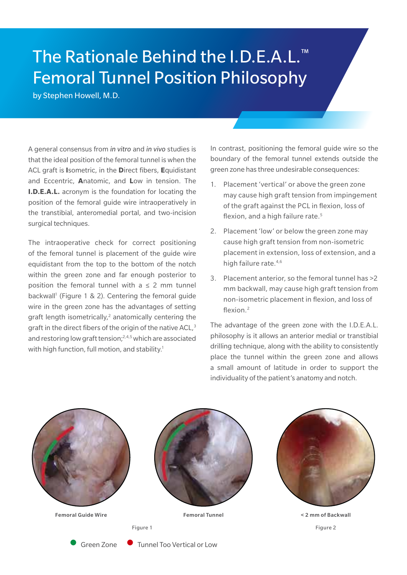## The Rationale Behind the I.D.E.A.L.™ Femoral Tunnel Position Philosophy

by Stephen Howell, M.D.

A general consensus from *in vitro* and *in vivo* studies is that the ideal position of the femoral tunnel is when the ACL graft is **I**sometric, in the **D**irect fibers, **E**quidistant and Eccentric, **A**natomic, and **L**ow in tension. The **I.D.E.A.L.** acronym is the foundation for locating the position of the femoral guide wire intraoperatively in the transtibial, anteromedial portal, and two-incision surgical techniques.

The intraoperative check for correct positioning of the femoral tunnel is placement of the guide wire equidistant from the top to the bottom of the notch within the green zone and far enough posterior to position the femoral tunnel with  $a \leq 2$  mm tunnel backwall<sup>1</sup> (Figure 1 & 2). Centering the femoral guide wire in the green zone has the advantages of setting graft length isometrically,<sup>2</sup> anatomically centering the graft in the direct fibers of the origin of the native ACL,<sup>3</sup> and restoring low graft tension;2,4,5 which are associated with high function, full motion, and stability.<sup>1</sup>

In contrast, positioning the femoral guide wire so the boundary of the femoral tunnel extends outside the green zone has three undesirable consequences:

- 1. Placement 'vertical' or above the green zone may cause high graft tension from impingement of the graft against the PCL in flexion, loss of flexion, and a high failure rate.<sup>5</sup>
- 2. Placement 'low' or below the green zone may cause high graft tension from non-isometric placement in extension, loss of extension, and a high failure rate.<sup>4,6</sup>
- 3. Placement anterior, so the femoral tunnel has >2 mm backwall, may cause high graft tension from non-isometric placement in flexion, and loss of flexion.<sup>2</sup>

The advantage of the green zone with the I.D.E.A.L. philosophy is it allows an anterior medial or transtibial drilling technique, along with the ability to consistently place the tunnel within the green zone and allows a small amount of latitude in order to support the individuality of the patient's anatomy and notch.



• Green Zone • Tunnel Too Vertical or Low